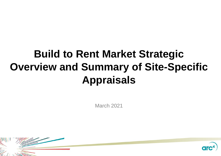# **Build to Rent Market Strategic Overview and Summary of Site-Specific Appraisals**

March 2021



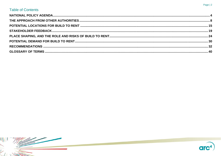#### Page | 2

## **Table of Contents**

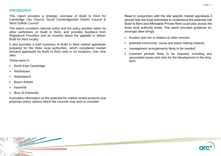### **Introduction**

This report provides a strategic overview of Build to Rent for Cambridge City Council, South Cambridgeshire District Council & West Suffolk Council

The report considers national policy and the policy position taken by other authorities on Build to Rent, and provides feedback from Registered Providers and an investor about the appetite to deliver Build for Rent locally.

It also provides a brief summary of Build to Rent market appraisals prepared for the three local authorities, which considered market demand appraisals for Build to Rent units in six locations, over nine sites.

These were in:

- North East Cambridge
- Northstowe
- **Waterbeach**
- Bourn Airfield
- **Haverhill**
- **Bury St Edmunds**

It provides information on the potential for market rented products and proposes policy options which the councils may wish to consider.

Read in conjunction with the site specific market appraisals it should help the local authorities to understand the potential role Build to Rent and Affordable Private Rent could play across the three local authority areas. The report provides guidance on, amongst other things:

- location and mix in relation to other tenures:
- potential community, social and place making impacts;
- management arrangements likely to be needed;
- covenant periods likely to be required, including any associated issues and risks for the development in the longterm.

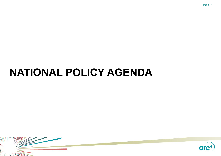# <span id="page-3-0"></span>**NATIONAL POLICY AGENDA**



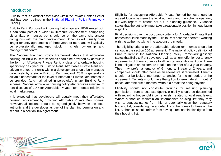### **Introduction**

Build to Rent is a distinct asset class within the Private Rented Sector and has been defined in the [National Planning Policy Framework](https://www.gov.uk/guidance/national-planning-policy-framework) (NPPF).

Build to Rent: Purpose built housing that is typically 100% rented out. It can form part of a wider multi-tenure development comprising either flats or houses but should be on the same site and/or contiguous with the main development. Schemes will usually offer longer tenancy agreements of three years or more and will typically be professionally managed stock in single ownership and management control.

The National Planning Policy Framework states that affordable housing on Build to Rent schemes should be provided by default in the form of Affordable Private Rent, a class of affordable housing specifically designed for Build to Rent. Affordable Private Rent and private market rent units within a development should be managed collectively by a single Build to Rent landlord. 20% is generally a suitable benchmark for the level of Affordable Private Rent homes to be provided, (and maintained in perpetuity), in any Build to Rent scheme. National affordable housing policy also requires a minimum rent discount of 20% for Affordable Private Rent homes relative to local market rents.

It is expected that developers will usually meet their affordable housing requirement by providing Affordable Private Rent homes. However, all options should be agreed jointly between the local authority and the developer as part of the planning permission and set out in a section 106 agreement.

Eligibility for occupying Affordable Private Rented homes should be agreed locally between the local authority and the scheme operator, but with regard to criteria set out in planning guidance. Guidance states that the authority must take a reasonable position in negotiating eligibility.

Final decisions over the occupancy criteria for Affordable Private Rent homes should be made by the Build to Rent scheme operator, working with the authority, taking into account the criteria.

The eligibility criteria for the affordable private rent homes should be set out in the section 106 agreement. The national policy definition of Build to Rent in the National Planning Policy Framework glossary states that Build to Rent developers will as a norm offer longer tenancy agreements of 3 years or more to all new tenants who want one. There is no obligation on customers to take up the offer of a 3-year tenancy. They may prefer a tenancy of 6 months, 1 year or 2 years, and companies should offer these as an alternative, if requested. Tenants should not be locked into longer tenancies for the full period of the agreement. Tenants should have the option to terminate at 1 months' notice, after the first 6 months, without a break fee being payable.

Eligibility should not constitute grounds for refusing planning permission. From a local standpoint, eligibility should be determined with regard to household income levels, related to local rent levels. Where authorities maintain an 'intermediate housing list' they may wish to suggest names from this, or potentially even their statutory housing list, considering the affordability of the homes to those on the list. Authorities should refrain from having direct nomination rights from their housing list.

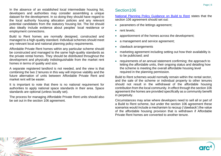In the absence of an established local intermediate housing list, developers and authorities may consider assembling a unique dataset for the development. In so doing they should have regard to the local authority housing allocation policies and any relevant potential candidates from the statutory housing list. The list should also ideally include evidence about peoples' local residence or employment connections.

Build to Rent homes are normally designed, constructed and managed to a high-quality standard. Individual schemes should meet any relevant local and national planning policy requirements.

Affordable Private Rent homes within any particular scheme should be constructed and managed to the same high-quality standards as the private rental homes. They should be distributed throughout the development and physically indistinguishable from the market rent homes in terms of quality and size.

A separate registered landlord is not needed, and the view is that combining the two 2 tenures in this way will improve viability and the future alternation of units between Affordable Private Rent and market rent will be easier.

It is important to note that there is no national requirement for authorities to apply national space standards in their area. Space standards are optional (unless locally set).

The process for managing Affordable Private Rent units should also be set out in the section 106 agreement.

# Section106

[National Planning Policy Guidance on Build to Rent](https://www.gov.uk/guidance/build-to-rent) states that the section 106 agreement should set out:

- parameters of the lettings agreement;
- rent levels:
- apportionment of the homes across the development;
- a management and service agreement;
- clawback arrangements
- marketing agreement including setting out how their availability is to be publicised; and
- requirements of an annual statement confirming: the approach to letting the affordable units, their ongoing status and detailing how the scheme is meeting the overall affordable housing level required in the planning permission.

Build to Rent schemes would normally remain within the rental sector, and the sale of the scheme or individual property to other tenures should not result in the withdrawal of the affordable housing contribution from the local community. In effect through the section 106 agreement the homes are provided specifically as a community benefit in perpetuity.

Circumstances may arise where developers need to sell all or part of a Build to Rent scheme, but under the section 106 agreement these scenarios would include a mechanism to recoup ('clawback') the value of the affordable housing provision that is withdrawn if Affordable Private Rent homes are converted to another tenure.

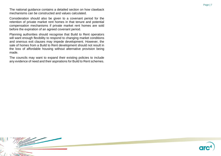The national guidance contains a detailed section on how clawback mechanisms can be constructed and values calculated.

Consideration should also be given to a covenant period for the retention of private market rent homes in that tenure and potential compensation mechanisms if private market rent homes are sold before the expiration of an agreed covenant period.

Planning authorities should recognise that Build to Rent operators will want enough flexibility to respond to changing market conditions and onerous exit clauses may impede development. However, the sale of homes from a Build to Rent development should not result in the loss of affordable housing without alternative provision being made.

The councils may want to expand their existing policies to include any evidence of need and their aspirations for Build to Rent schemes.

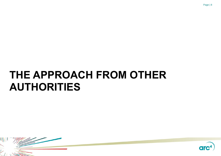# <span id="page-7-0"></span>**THE APPROACH FROM OTHER AUTHORITIES**



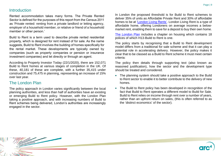### **Introduction**

Rented accommodation takes many forms. The Private Rented Sector is defined for the purposes of this report from the Census 2011 as 'Private rented: renting from a private landlord or letting agency, employer of a household member, or relative or friend of a household member or other person.'

Build to Rent is a term used to describe private rented residential property, which is designed for rent instead of for sale. As the name suggests, Build to Rent involves the building of homes specifically for the rental market. These developments are typically owned by companies (such as property companies or pension or insurance investment companies) and let directly or through an agent.

According to Property Investor Today (22/1/2020), there are 152,071 Build to Rent homes at various stages of completion in the UK. Of these, 40,181 of these are complete, with a further 35,415 under construction and 75,475 in planning, representing an increase of 15% over last year.

#### The London Plan

The policy approach in London varies significantly between the local planning authorities, and less than half of authorities have an existing or emerging Build to Rent policy. However, with the London Plan taking a positive approach, and with increasing numbers of Build to Rent schemes being delivered, London's authorities are increasingly engaged in the sector.

In London the proposed threshold is for Build to Rent schemes to deliver 35% of units as Affordable Private Rent and 30% of affordable homes to be at ['London Living Rents'.](https://www.london.gov.uk/what-we-do/housing-and-land/improving-private-rented-sector/london-living-rent) London Living Rent is a type of affordable home, offering Londoners on average incomes a belowmarket rent, enabling them to save for a deposit to buy their own home.

[The London Plan](https://www.london.gov.uk/what-we-do/planning/london-plan) includes a chapter on housing which contains 18 polices of which H13-Build to Rent is one.

The policy starts by recognising that a Build to Rent development model differs from a traditional for sale scheme and that it can play a potential role in accelerating delivery. However, the policy makes it clear that to be classed as a Build to Rent scheme it must meet certain criteria:

The policy then details through supporting text (also known as reasoned justification), how the sector and the development type should be treated and considered.

- The planning system should take a positive approach to the Build to Rent sector to enable it to better contribute to the delivery of new homes.
- The Build to Rent policy has been developed in recognition of the fact that Build to Rent operates a different model to Build for Sale. Build to Rent relies on income through rent over a number of years, rather than an upfront return on sales, (this is often referred to as the 'distinct economics' of the sector).

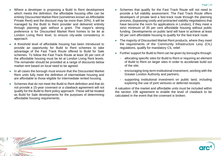- Where a developer is proposing a Build to Rent development which meets the definition, the affordable housing offer can be entirely Discounted Market Rent (sometimes known as Affordable Private Rent) and the discount may be more than 20%). It will be managed by the Build to Rent provider and delivered entirely through planning gain without a grant. The mayor's strong preference is for Discounted Market Rent homes to be let at London Living Rent level, to ensure city-wide consistency in approach.
- A threshold level of affordable housing has been introduced to provide an opportunity for Build to Rent schemes to take advantage of the Fast Track Route offered to Build for Sale schemes. To follow the Fast Track Route at least 30 per cent of the affordable housing must be let at London Living Rent levels. The remainder should be provided at a range of discounts below market rent based on local need to be agreed.
- In all cases the borough must ensure that the Discounted Market Rent units fully meet the definition of intermediate housing and are affordable to those eligible for intermediate rented housing.
- Schemes that do not meet the Build to Rent definition and that do not provide a 15-year covenant or a clawback agreement will not qualify for the Build to Rent policy approach. These will be treated as Build for Sale developments for the purposes of determining affordable housing requirements.
- Schemes that qualify for the Fast Track Route will not need to provide a full viability assessment. The Fast Track Route offers developers of private land a fast-track route through the planning process, (bypassing costly and protracted viability negotiations that have become the norm for applications in London), if they meet a strict minimum of 35 per cent affordable housing without public funding. Developments on public land will have to achieve at least 50 per cent affordable housing to qualify for the fast-track route.
- The majority of Discounted Market Rent products, where they meet the requirements of the Community Infrastructure Levy (CIL) regulations, qualify for mandatory CIL relief.
- Further support for Build to Rent can be given by boroughs through:
	- allocating specific sites for Build to Rent or requiring an element of Build to Rent on larger sites in order to accelerate build out of the site;
	- encouraging long-term institutional investment, working with the Greater London Authority and partners;
	- supporting institutional investment on public land, including exploring the use of joint ventures or deferred receipts.

A valuation of the market and affordable units must be included within the section 106 agreement to enable the level of clawback to be calculated in the event that the covenant is broken.

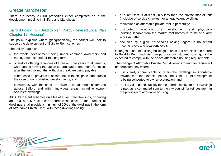### Greater Manchester

There are nearly 23,000 properties either completed or in the development pipeline in Salford and Manchester.

#### Salford Policy H8 - Build to Rent Policy (Revised Local Plan Chapter 12: Housing)

The policy explains where (geographically) the council will look to support the development of Build to Rent schemes.

The policy requires:

- the whole development being under common ownership and management control for the long term;
- operators offering tenancies of three or more years to all tenants, with tenants having the option to terminate at one month's notice, after the first six months, without a break fee being payable;
- schemes to be provided in accordance with the space standards in the case of non-furnished developments; and
- consistency with the need to deliver a broad range of tenures across Salford and within individual areas, including owneroccupied dwellings.

All Build to Rent schemes on sites of 10 or more dwellings, or having an area of 0.5 hectares or more irrespective of the number of dwellings, shall provide a minimum of 20% of the dwellings in the form of Affordable Private Rent, with these dwellings being:

- at a rent that is at least 20% less than the private market rent (inclusive of service charges) for an equivalent dwelling;
- maintained as affordable private rent in perpetuity;
- distributed throughout the development and physically indistinguishable from the market rent homes in terms of quality and size; and
- occupied by eligible households having regard to household income levels and local rent levels.

Changes of use of existing buildings to uses that are similar in nature to Build to Rent, such as from purpose-built student housing, will be expected to comply with the above affordable housing requirements.

The change of Affordable Private Rent dwellings to another tenure will be permitted only where:

- it is clearly impracticable to retain the dwellings in Affordable Private Rent, for example because the Build to Rent development is being converted to owner-occupation; and
- the full value of the subsidy for the affordable private rent dwellings is paid as a commuted sum to the city council for reinvestment in the provision of affordable housing.



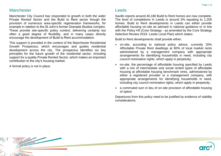### **Manchester**

Manchester City Council has responded to growth in both the wider Private Rented Sector and the Build to Rent sector though the provision of numerous area-specific regeneration frameworks, for example in relation to the St John's former Granada Studios complex. These provide site-specific policy context, delivering certainty but often a good degree of flexibility, and in many cases directly encourage the development of Build to Rent accommodation.

This support is provided in the context of the Manchester Residential Growth Prospectus, which encourages and guides residential development across the city. The prospectus identifies six key principles for the future growth of the residential sector, including support for a quality Private Rented Sector, which makes an important contribution to the city's housing market.

A formal policy is not in place.

# Leeds

Savills reports around 40,180 Build to Rent homes are now complete. The level of completions in Leeds is around 3% equating to 1,205 homes. Build to Rent developments in Leeds can either provide affordable housing on-site as advised in national guidance or in line with the Policy H5 (Core Strategy - as amended by the Core Strategy Selective Review 2019- Leeds Local Plan) which states:

Build to Rent developments shall provide either:

- on-site, according to national policy advice, currently 20% Affordable Private Rent dwellings at 80% of local market rents administered by a management company with appropriate arrangements for identifying households in need, including city council nomination rights, which apply in perpetuity;
- on-site, the percentage of affordable housing specified by Leeds with a mix of intermediate and social rented types of affordable housing at affordable housing benchmark rents, administered by either a registered provider or a management company, with appropriate arrangements for identifying households in need, including city council nomination rights, which apply in perpetuity;
- a commuted sum in lieu of on-site provision of affordable housing of option

Departures from this policy need to be justified by evidence of viability considerations.

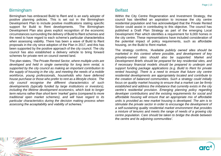### Birmingham

Birmingham has embraced Build to Rent and is an early adopter of positive planning policies. This is set out in the Birmingham Development Plan to include positive modifications stating specific support for Build to Rent developments. The Birmingham Development Plan also gives explicit recognition of the economic circumstances surrounding the delivery of Build to Rent schemes and the need to have regard to each scheme's particular characteristics when assessing viability. There has been a wave of Build to Rent proposals in the city since adoption of the Plan in 2017, and this has been supported by the positive approach of the city council. The city council has also established a delivery vehicle to bring forward schemes for private rent on council owned land.

The plan states*, 'The Private Rented Sector, where multiple units are developed and held in single ownership for long term rental, is supported by the city council as making an important contribution to the supply of housing in the city, and meeting the needs of a mobile workforce, young professionals, households who have deferred house purchase or those who prefer to rent as a lifestyle choice. The city council recognise the different characteristics of such developments (typically funded by large institutions or investors), including the lifetime development economics, which look to longer term returns rather than short term 'market' gains (compared to more traditional open market schemes), and will have regard to its particular characteristics during the decision making process when assessing the acceptability and viability of schemes.'*

## **Belfast**

Within the City Centre Regeneration and Investment Strategy, the council has identified an aspiration to increase the city centre residential population and has acknowledged that the Private Rented Sector could assist in contributing to this objective. The council has published a Draft Plan Strategy as part of the emerging Local Development Plan which identifies a requirement for 6,000 homes in the city centre. These representations have included consideration of the potential impact of policy requirements, such as affordable housing, on the Build to Rent market.

The strategy confirms, *'Available publicly owned sites should be marketed in this context where possible, and development of key privately-owned sites should also be supported. Market and Development Briefs should be prepared for key residential sites, and if necessary financial models should be prepared to underpin and support funding package applications (e.g. Build to Rent for private rented housing*). There is a need to ensure that future city centre *residential developments are appropriately located and contribute to the creation of balanced communities. Such a strategy could initially focus on quality market housing to ensure that a market can be firmly established and address the imbalance that currently exists in the city centre's residential provision. Emerging planning policy regarding developer contributions and the existing requirements for social and affordable housing will ensure that an appropriate mix of affordable units is provided as new market housing is developed. The aim is to stimulate the private sector in order to encourage the development of a self-sustaining quality residential market environment that provides a mixture of tenures and meets the range of needs of a growing city centre population. Care should be taken to bridge the divide between the centre and its adjoining communities'*.

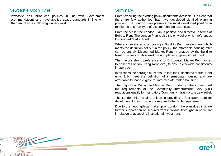#### Newcastle Upon Tyne

Newcastle has introduced policies in line with Government recommendations and have applied space standards in line with other tenure types following viability work.

### **Summary**

From reviewing the existing policy documents available, it is clear that there are few authorities that have developed detailed planning policies. The London Plan presents the most developed position in relation to this new type of accommodation asset class.

From the outset the London Plan is positive and directive in terms of Build to Rent. The London Plan is also the only policy which references Discounted Market Rent.

Where a developer is proposing a Build to Rent development which meets the definition set out in the policy, the affordable housing offer can be entirely Discounted Market Rent , managed by the Build to Rent provider and delivered through planning gain without grant.

The mayor's strong preference is for Discounted Market Rent homes to be let at London Living Rent level, to ensure city-wide consistency in approach.

In all cases the borough must ensure that the Discounted Market Rent units fully meet the definition of intermediate housing and are affordable to those eligible for intermediate rented housing.

The majority of Discounted Market Rent products, where they meet the requirements of the Community Infrastructure Levy (CIL) regulations qualify for mandatory Community Infrastructure Levy relief.

The London Plan is also unique in providing a fast track route for developers if they provide the required affordable requirement.

Due to the geographical make-up of London, the plan does indicate further support can be secured from individual boroughs in particular in relation to accessing institutional investment.

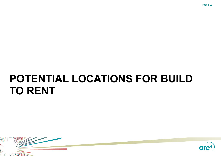# <span id="page-14-0"></span>**POTENTIAL LOCATIONS FOR BUILD TO RENT**



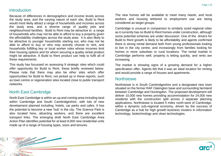#### **Introduction**

Because of differences in demographics and income levels across the study area, and the varying nature of each site, Build to Rent would most likely attract a range of households and incomes across the study area, and a diverse range of quality jobs and neighbourhood facilities. Build to Rent may be attractive to a range of households who may not be able to afford to buy a property given the affordability challenges across the study area. It is also likely to be attractive to younger households starting out, who may not be able to afford to buy or who may actively choose to rent, and households fulfilling key or local worker roles whose incomes limit their housing options and for whom securing a quality rental product might be attractive. A Build to Rent product can help to fulfil all of these requirements.

This study has focussed on assessing 9 strategic sites which could offer opportunity for Build to Rent, these briefly reviewed below. Please note that there may also be other sites which offer opportunities for Build to Rent, not picked up in these reports, such as town centre or regeneration sites located close to public transport networks.

#### North East Cambridge

North East Cambridge is within an up and coming area including land within Cambridge and South Cambridgeshire, with lots of new development planned including. hotels, car parks and cafes. It has the potential to become a new 'hub' in the city. The Science Park is also located here, attracting workers, and there are excellent transport links. The emerging draft North East Cambridge Area Action Plan identifies potential for at least 8,000 new residential units made up of a range of housing types, sizes and tenures.

The new homes will be available to meet many needs, and local workers and housing tethered to employment use are being considered as target groups.

Cambridge is unusual in comparison to similarly sized regional cities as it currently has no Build to Rent homes under construction, although some potential schemes are under discussion. One of the drivers for Build to Rent growth is likely to be affordability and agents confirmed there is strong rental demand both from young professionals looking to live in the city centre, and increasingly from families looking for homes in more suburban or rural locations. The rental market in Cambridge performs well, property is letting quickly, and rents are increasing.

The market is showing signs of a growing demand for a higher specification offer. Agents felt that it was an ideal location for renting and would provide a range of houses and apartments.

#### **Northstowe**

Northstowe is in South Cambridgeshire and a designated new town situated on the former RAF Oakington base and surrounding farmland between Cambridge and Huntingdon. The proposed development will deliver 10,000 new homes providing accommodation for 24,000 new residents with the construction split across 3 separate planning applications. Northstowe is located 5 miles north-west of Cambridge, within a dynamic sub-regional economy, driven by the success of Cambridge as a hub for high growth business clusters in information technology, biotechnology and clean technologies.

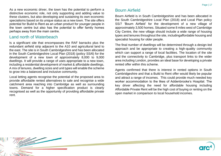As a new economic driver, the town has the potential to perform a distinctive economic role, not only supporting and adding value to these clusters, but also developing and sustaining its own economic specialisms based on its unique status as a new town. The site offers potential for Build to Rent as an urban product for younger people in the town centre but also has the potential to offer family homes perhaps away from the main centre.

#### Land north of Waterbeach

Is a significant site that encompasses the RAF barracks plus the redundant airfield strip adjacent to the A10 and agricultural land to the east. The site is in South Cambridgeshire and has been allocated in the South Cambridgeshire Local Plan (2018) (policy SS/6) for the development of a new town of approximately 8,000 to 9,000 dwellings. It will provide a range of uses appropriate to a new town, including a residential development of market & affordable dwellings. A mix of tenures, dwelling sizes and unit types will enable the scheme to grow into a balanced and inclusive community.

Local letting agents recognise the potential of the proposed area to provide affordable rented alternatives to sale and recognise a wide catchment area reaching into Cambridge as well as surrounding towns. Demand for a higher specification product is clearly recognised as well as the opportunity of providing affordable private rent.

# Bourn Airfield

Bourn Airfield is in South Cambridgeshire and has been allocated in the South Cambridgeshire Local Plan (2018) and Local Plan policy SS/7 'Bourn Airfield' for the development of a new village of approximately 3,500 homes. Situated some 8 miles west of Cambridge City Centre, the new village should include a wide range of housing types and tenures throughout the site, includingaffordable housing and specialist housing for older people.

The final number of dwellings will be determined through a design-led approach and be appropriate to creating a high-quality community which can support a range of local facilities. The location of the site and the connectivity to Cambridge, plus transport links to the wider area including London, provides an ideal base for developing a private rented offer within this scheme.

Agents confirmed that there is interest in rented options in South Cambridgeshire and that a Build to Rent offer would likely be popular and attract a range of incomes. This could provide much needed key worker accommodation to the likes of Addenbrooke's Hospital. The key driver affecting the need for affordable housing including Affordable Private Rent will be the high cost of buying or renting on the open market in comparison to local household incomes.

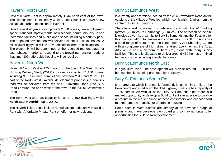# Haverhill North East

Haverhill North East is approximately 1 km north-east of the town. The site has been identified by West Suffolk Council to deliver a new sustainable urban extension to Haverhill.

Over the next 20 years, it can provide 2,500 homes, new employment space, transport improvements, new schools, community leisure and recreation facilities and public open space including a country park. The proposed development will deliver residential units in phases. A mix of dwelling types will be provided both in terms of size and tenure. The exact mix will be determined at the reserved matters stage for each phase, in order to respond to the prevailing housing needs at that time. 30% affordable housing will be required.

#### Haverhill North West

Haverhill North West is 1.2km north of the town. The West Suffolk Housing Delivery Study (2019) indicates a capacity of 1,150 homes, including 375 assumed completions between 2017 and 2022. As part of the North West Haverhill development proposals, a new link road will be delivered from the A143, Haverhill Road ('the Bury Road') around the north-west of the town to the A1307 Withersfield Road.

The north-west site has capacity for up to 1,150 dwellings, whilst **North East Haverhill**, up to 2,500.

The Haverhill sites could include rented accommodation with Build to Rent with Affordable Private Rent on offer for new residents.

# Bury St Edmunds West

Is currently open farmland located off the A14 Newmarket Road on the outskirts of the village of Westley, which itself is within 2 miles from the centre of Bury St Edmunds.

The site is well positioned for vehicular traffic with the A14 linking Ipswich (23 miles) to Cambridge (28 miles). The attraction of the site is obvious given its proximity to Bury St Edmunds and the lifestyle offer this town can afford to families and commuters. Bury St Edmunds has a good range of restaurants, the contemporary Arc Shopping Centre with a conglomerate of high street retailers, two cinemas, the Apex Arts venue and a plethora of bars etc., along with many sports facilities. This site is allocated to deliver around 450 homes of mixed tenure and size, including affordable homes.

## Bury St Edmunds North East

Is agricultural land. The development will provide around 1,250 new homes, the site is being promoted by Berkeleys.

# Bury St Edmunds South East

Is a large site which is primarily farmland, it lies within 1 mile of the town centre and is adjacent the A14 highway. The site has capacity of 1,250 homes. As with all of the Bury St Edmunds sites there is a market opportunity to develop a Build to Rent site at scale to provide a product in the market aimed at those consumers who cannot afford market homes nor qualify for affordable housing.

Some sites in West Suffolk are already at an advanced stage of planning and have developers on board and so may no longer offer opportunities for Build to Rent development.



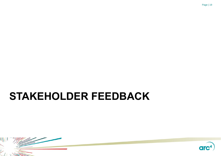



# <span id="page-18-0"></span>**STAKEHOLDER FEEDBACK**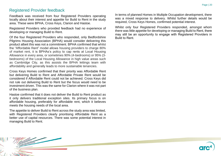#### Registered Provider feedback

Feedback was received from four Registered Providers operating locally about their interest and appetite for Build to Rent in the study area. These were BPHA, Cross Keys, Clarion and Hastoe.

Registered Providers who provided feedback had no experience of developing or managing Build to Rent.

Of the four Registered Providers who responded, only Bedfordshire Pilgrims Housing Association (BPHA) would consider delivering this product albeit this was not a commitment. BPHA confirmed that whilst the "Affordable Rent" model allows housing providers to charge 80% of market rent, it is BPHAs's policy to cap rents at Local Housing Allowance in every area, or sometimes 90% (4-bedrooms) or 95% (3 bedrooms) of the Local Housing Allowance in high value areas such as Cambridge City, as this assists the BPHA lettings team with affordability and generally leads to more sustainable tenancies.

Cross Keys Homes confirmed that their priority was Affordable Rent but delivering Build to Rent and Affordable Private Rent would be considered if Affordable Rent could not be achieved. Cross Keys did not rule out delivering Build to Rent but the focus would need to be investment driven. This was the same for Clarion where it was not part of the business plan.

Hastoe confirmed that it does not deliver the Build to Rent product as it only delivers traditional exception sites. Its primary focus is on affordable housing, preferably for affordable rent, which it believes meets the housing needs of the local area.

The appetite to deliver Build to Rent across the study area was limited, with Registered Providers clearly prioritising Affordable Rent as a better use of capital resources. There was some potential interest in managing Build to Rent.

In terms of planned Homes in Multiple Occupation development, there was a mixed response to delivery. Whilst further details would be required, Cross Keys Homes, confirmed potential interest.

Whilst only four Registered Providers responded, amongst whom there was little appetite for developing or managing Build to Rent, there may still be an opportunity to engage with Registered Providers in Build to Rent.

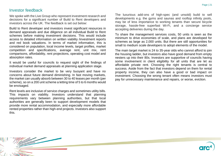### Investor feedback

We spoke with the Live Group who represent investment research and decisions for a significant number of Build to Rent developers and investors across the UK. The feedback is set out below:

Build to Rent developer and investors invest significant resources in demand appraisals and due diligence on all individual Build to Rent schemes before making investment decisions. This would include access to detailed information on written viability /investment reports and red book valuations. In terms of market information, this is considered on population, local income levels, target profiles, market competition and specifications, average rent, unit mix, rent comparisons, affordability, rent projections, operating cost model and absorption rates.

It would be useful for councils to request sight of the findings of individual market demand appraisals at planning application stage.

Investors consider the market to be very buoyant and have no concerns about future demand diminishing. In fast moving markets, the market can usually absorb between 30 to 40 leases per month (per scheme), so on a 200 unit scheme a letting time of 5 to 6 months would be envisaged.

Rent levels are inclusive of service charges and sometimes utility bills. This impacts on viability. Investors understand that planning requirements vary between planning authorities, but that local authorities are generally keen to support development models that provide more rental accommodation, and especially more affordable rented properties rather than high-end projects. Investors also support this.

The luxurious add-ons of high-spec (and unsold) build to sell developments e.g. the gyms and saunas and rooftop infinity pools, may be of less importance to working tenants than secure bicycle storage, hassle-free superfast Wi-Fi, and a concierge service accepting deliveries during the day.

To share the management services costs, 50 units is seen as the minimum to drive economies of scale, and plans are developed for schemes as large as 2,000 units. But there are still opportunities for small to medium scale developers to adopt elements of the model.

The main target market is 24 to 35-year olds who cannot afford to join the housing ladder, but investors also have good demand from empty nesters up into their 80s. Investors are supportive of councils having some involvement in client eligibility for all units that are let as affordable private rent. Choosing the right tenants is central to success. Aside from the fact that investors depend on them for rental property income, they can also have a good or bad impact on investment. Choosing the wrong tenant often means investors must pay for unnecessary maintenance and repairs, or worse, eviction.

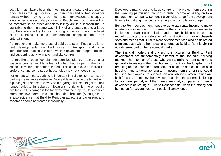Location has always been the most important feature of a property. If you are in the right location, you can command higher prices for rentals without having to do much else. Renovations and square footage become secondary concerns. People are much more willing to compromise on other amenities if they are in a location that is desirable to them in some way. Think of any area close to a large city. People are willing to pay much higher prices to be in the heart of it all, being close to transportation, shopping, food, and entertainment.

Renters tend to make more use of public transport. Popular build-torent developments are built close to transport and other infrastructure, making use of brownfield development opportunities, and supporting activity in town and city centres.

Renters like an open floor plan. An open floor plan can help a smaller space appear larger. Many feel a kitchen that is open to the living space allows for better entertainment. This of course, is an individual preference and some target households may not choose this.

For renters with cars, parking is important in Build to Rent. Off-street parking is even more desirable. Being able to provide the tenant with a parking spot on the driveway or in a garage will help to get the unit rented quickly. In suburban locations, parking is more readily available. If this garage is too far away from the property, for example more than 100 metres, this could be a deal-breaker. (Although there is also evidence that Build to Rent can attract less car usage, and schemes should be treated individually).

Developers may choose to keep control of the project from securing the planning permission through to rental income or selling on to a management company. So, funding vehicles range from development finance to bridging finance transferring to a buy to let mortgage.

Build to Rent development needs to generate rental income to make a return on investment. This means there is a strong incentive to implement a planning permission and to start building at pace. This model supports the acceleration of construction on large (phased) sites and means that Build to Rent development can also be delivered simultaneously with other housing tenures as Build to Rent is aiming at a different part of the residential market.

The financial models and ownership structures for Build to Rent development are fundamentally different to the 'for sale' housing market. The intention of those who own a Build to Rent scheme is generally to maintain them as homes for rent for the long-term, not breaking up the scheme to turn some or all of the homes into for sale housing , and to generate long-term income from the rent that could be used, for example, to support pension liabilities. When homes are built for sale, the money the developer puts into the scheme is tied up for a shorter period, until the homes are sold, compared to when a developer is delivering a Build to Rent scheme, when the money can be tied up for several years, if not significantly longer.

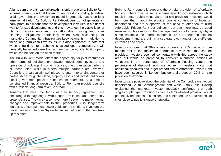A lump sum of profit - capital growth - is only made on a Build to Rent scheme when it is sold at the end of an investor's holding (if indeed at all, given that the investment model is generally based on long term rental yield). As Build to Rent developers do not generate an early profit, this means that the development is valued in a different way to for sale developments and this may affect the viable level of planning requirements such as affordable housing and other planning obligations, particularly when also accounting for mandatory Community Infrastructure Levy payments. In addition to these long term cash flow issues, it is also significant to note that when a Build to Rent scheme is valued upon completion, it will generally be valued lower than an unencumbered, identical property which can be sold on the open market.

The Build to Rent model offers the opportunity for joint ventures or other forms of collaboration between developers, investors and operators of buildings. In some instances, one organisation performs all these roles, while in others multiple partners are involved. Councils are particularly well placed to enter into a joint venture or partnership through their land, property assets and investment power (local government pension schemes for example). At a time of constrained financial resource, Build to Rent can provide councils with a reliable long-term revenue stream.

Tenants that meet the terms of their tenancy agreement are encouraged to stay longer, with longer-term leases and tenant-only break clauses. They may also have more freedom to make internal changes and improvements to their properties. Also, longer-term tenancies of course mean fewer voids for the landlord. Investors are more than willing to offer 3-year tenancies but confirm that few take up this offer.

Build to Rent generally supports the on-site provision of affordable housing. There may be some scheme specific circumstances which result in better public value via an off-site provision. Investors would be more than happy to provide on-site contributions. Investors understand and are supportive of the need to offer tenure blind Affordable Private Rent but did point out that there may be good reasons, such as reducing the management costs for tenants, why in some instances the affordable homes are not integrated into the development and are built in a separate block and/or have different entrances and cores.

Investors suggest that 20% on-site provision at 20% discount from market rent is the maximum affordable private rent that can be provided. Investors seemed comfortable with this across the study area but would be prepared to consider alternative options of variations in the percentage of affordable housing versus the percentage of discount from market rent. Investors know that additional discounts and larger proportions of Affordable Private Rent have been secured in London but generally support 20% on site provision elsewhere.

Investors are positive about the potential of the Cambridge market but understood South Cambridgeshire and West Suffolk less. Having explained the markets, investor feedback confirmed that both single/couple type provision as well as family-based provision would potentially be options to consider, and confirmed the attractiveness of sites close to public transport networks.

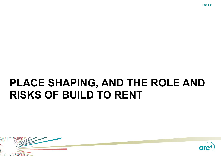



# <span id="page-23-0"></span>**PLACE SHAPING, AND THE ROLE AND RISKS OF BUILD TO RENT**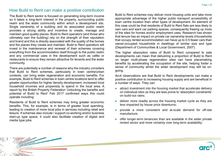### How Build to Rent can make a positive contribution

The Build to Rent sector is focused on generating long-term income so it takes a long-term interest in the property, surrounding public realm and the wider community within which a development sits. Single ownership of a building and its associated public realm provides a strong ability and incentive to create, manage and maintain good quality places. Build to Rent operators (and those who ultimately own the building) rely on the strength of their reputation and brand and this is directly associated with the quality of the homes and the places they create and maintain. Build to Rent operators will invest in the maintenance and renewal of their schemes covering everything from the accommodation itself through to the public realm and any commercial uses in the development such as cafés or restaurants to ensure they remain attractive for tenants and the wider community.

There are potentially a number of reasons why the industry considers that Build to Rent schemes, particularly in town centre/urban contexts, can bring wider regeneration and economic benefits. For example, Build to Rent schemes in town centre locations tend to offer greater opportunities for higher density development, increased local household incomes and propensity to spend in the local area. A report by the British Property Federation 'Unlocking the benefits and potential of Build to Rent' Feb 2017 confirmed ways this could operate including:

Residents of Build to Rent schemes may bring greater economic benefits. This, for example, is in terms of greater local spending, leading to creation of more local jobs in services including retail and leisure. If schemes also include / support co-working and/or business start-up type space, it could also facilitate creation of digital and media type jobs.

Build to Rent schemes may deliver more housing units and take more appropriate advantage of the higher public transport accessibility of town centre location than other types of development. An element of this case could be that residents of Build to Rent flats are less likely to own cars and want car parking spaces, consequently freeing up more of the sites for homes and/or employment uses. Research has shown that tenure has an impact on private car ownership levels (Households that occupy rented accommodation can have up to 0.5 fewer cars than owner-occupied households in dwellings of similar size and type (Department of Communities & Local Government, 2007).

The higher absorption rates of Build to Rent compared to sale developments can mean that delivering a proportion of Build to Rent on larger multi-phase regeneration sites can have placemaking benefits by accelerating the occupation of the site, helping foster a sense of community whilst the wider development may still be ongoing.

Arc4 observations are that Build to Rent developments can make a positive contribution to increasing housing supply and are beneficial in a number of ways. They can:

- attract investment into the housing market that accelerate delivery on individual sites as they are less prone to 'absorption constraints' on build-out rates;
- deliver more readily across the housing market cycle as they are less impacted by house price downturns;
- provide a more consistent and at-scale demand for off-site manufacture;
- offer longer-term tenancies than are available in the wider private rented sector and more certainty over long-term availability;

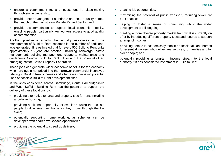- ensure a commitment to, and investment in, place-making through single ownership;
- provide better management standards and better-quality homes than much of the mainstream Private Rented Sector; and
- provide accommodation to support local economic mobility, enabling people, particularly key workers access to good quality accommodation.

Another positive externality the industry associates with the management of Build to Rent schemes is the number of additional jobs generated. It is estimated that for every 500 Build to Rent units approximately 15 jobs are created (including concierge, estate management, building management, cleaners, maintenance and gardeners). Source: Build to Rent: Unlocking the potential of an emerging sector, British Property Federation.

These jobs can generate wider economic benefits for the economy which are again not priced into the narrower commercial incentives relating to Build to Rent schemes and alternative competing potential uses of possible Build to Rent development sites.

In the sites considered across Cambridge, South Cambridgeshire and West Suffolk, Build to Rent has the potential to support the delivery of these locations by:

- providing alternative tenures and property type for rent, including affordable housing;
- providing additional opportunity for smaller housing that assists people to downsize their home as they move through the life cycle;
- potentially supporting home working, as schemes can be developed with shared workspace opportunities;
- providing the potential to speed up delivery;
- creating job opportunities;
- maximising the potential of public transport, requiring fewer car park spaces;
- helping to foster a sense of community whilst the wider development is still ongoing;
- creating a more diverse property market from what is currently on offer by introducing different property types and tenures to support a range of incomes;
- providing homes to economically mobile professionals and homes for essential workers who deliver key services, for families and for older people; and
- potentially providing a long-term income stream to the local authority if it has considered investment in Build to Rent.

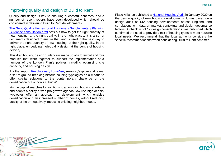### Improving quality and design of Build to Rent

Quality and design is key to ensuring successful schemes, and a number of recent reports have been developed which should be considered in delivering Build to Rent developments

[The Good Quality Homes for all Londoners Supplementary](https://smallsites.london/homes-for-londoners/#:~:text=The%20draft%20Good%20Quality%20Homes%20for%20All%20Londoners,following%20draft%20documents%20were%20published%20in%20October%20) Planning [Guidance consultation draft](https://smallsites.london/homes-for-londoners/#:~:text=The%20draft%20Good%20Quality%20Homes%20for%20All%20Londoners,following%20draft%20documents%20were%20published%20in%20October%20) sets out how to get the right quantity of new housing, at the right quality, in the right places. It is a set of documents designed to ensure that land is used in the best way to deliver the right quantity of new housing, at the right quality, in the right place, embedding high-quality design at the centre of housing delivery.

This draft housing design guidance is made up of a foreword and four modules that work together to support the implementation of a number of the London Plan's policies including optimising site capacity, and housing design.

Another report, [Revolutionary Low-Rise,](http://karakusevic-carson.com/system/dragonfly/production/2019/10/28/8bt67uvljt_Revolutionary_Low_Rise_PDF_071019.pdf) seeks to;'explore and reveal a set of ground-breaking historic housing typologies as a means to offer spatial solutions to the contemporary challenge of the densification of London's suburbs'.

'As the capital searches for solutions to an ongoing housing shortage and adopts a policy driven pro-growth agenda, low-rise high density typologies offer an approach to development which enables densification and an increased number of homes, without reducing quality of life or negatively impacting existing neighbourhoods. '

Place Alliance published a [National Housing Audit](http://placealliance.org.uk/research/national-housing-audit/) in January 2020 on the design quality of new housing developments. It was based on a design audit of 142 housing developments across England, and correlations with data on market, contextual and design governance factors. A check list of 17 design considerations was published which confirmed the need to provide a mix of housing types to meet housing local needs. We recommend that the local authority considers the specific recommendations when considering Build to Rent schemes:



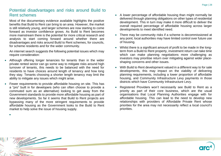## Potential disadvantages and risks around Build to Rent schemes

Most of the documentary evidence available highlights the positive benefits that Build to Rent can bring to an area. However, the market is still relatively young, and larger schemes are now starting to come forward as investor confidence grows. As Build to Rent becomes more mainstream there is the potential for more critical research and analysis to start coming forward around whether there are disadvantages and risks around Build to Rent schemes, for councils, for scheme residents and for the wider community.

An internet search suggests the following potential issues which may require consideration:

- Although offering longer tenancies for tenants than in the wider private rented sector can go some way to mitigate risks around high turnover of tenants, this needs to be balanced with the need for residents to have choices around length of tenancy and how long they stay. Tenants choosing a shorter length tenancy may limit the ability to mitigate any issues which might arise.
- Fewer requirements to provide affordable housing on site. This has a "pro" built in for developers (who can often choose to provide a commuted sum as an alternative) looking to get away from the Government standards to provide more affordable housing as part of new developments. So far it seems that Build to Rent projects are bypassing many of the more stringent requirements to provide affordable housing as the Government looks to the Build to Rent market to help solve the issue of housing supply.

•

- A lower percentage of affordable housing than might normally be delivered through planning obligations on other types of residential development. This in turn may make it more difficult to deliver the overall required percentage of affordable housing across larger developments to meet identified need.
- There may be community risks if a scheme is decommissioned at any point; local authorities may have limited control over future use of housing.
- Whilst there is a significant amount of profit to be made in the longterm from a Build to Rent property, investment return can take time which can make planning negotiations more challenging as investors may prioritise return over mitigating against wider placeshaping concerns and other issues.
- With Build to Rent development valued in a different way to for sale developments, this may impact on the viability of delivering planning requirements, including a lower proportion of affordable housing, and Community Infrastructure Levy payments in those districts which have Community Infrastructure Levy.
- Registered Providers won't necessarily see Build to Rent as a priority as part of their core business, which are the usual organisations that Local Planning Authorities engage with for affordable housing. This can lead to the need to develop new relationships with providers of Affordable Private Rent whose priorities for the area may not necessarily reflect a local council's priorities.

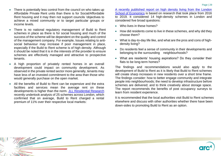- There is potentially less control from the council on who takes up Affordable Private Rent units than there is for Social/Affordable Rent housing and it may then not support councils 'objectives to achieve a mixed community or to target particular groups or income levels.
- There is no national regulatory management of Build to Rent schemes in place as there is for social housing and much of the success of the scheme will be dependent on the quality and control of the management company. For example, Issues relating to antisocial behaviour may increase if poor management in place, especially if the Build to Rent scheme is of high density. Although it should be noted that it is in the interests of the provider to ensure schemes are effectively managed and attractive to prospective tenants.
- A high proportion of privately rented homes in an overall development could impact on community development. As observed in the private rented sector more generally, tenants may have less of an invested commitment to the area than those who would generally purchase on the open market.
- All the benefits of Build to Rent can be expensive and the extra facilities and services mean the average rent on these developments is higher than the norm. [JLL Residential Research](https://residential.jll.co.uk/insights/opinions/will-tenants-pay-more-rent-for-amenities) recently undertook analysis of 25 schemes across London, which confirmed that on average, Build to Rent charged a rental premium of 11% over their respective local markets:

[A recently published report on high density living from the London](https://www.lse.ac.uk/lse-cities-density-homes)  [School of Economics](https://www.lse.ac.uk/lse-cities-density-homes) is based on research that took place from 2016 to 2019. It considered 14 high-density schemes in London and considered five broad questions:

- Who lives in these homes?
- How did residents come to live in these schemes, and why did they choose them?
- What is day-to-day life like, and what are the pros and cons of highdensity living?
- Do residents feel a sense of community in their developments and belonging to the surrounding neighbourhoods?
- What are residents' housing aspirations? Do they consider their flats to be long-term homes?

The findings and recommendations would also apply to the development of Build to Rent as it is likely that Build to Rent schemes will create sharp increases in new residents over a short time frame. The findings consider: how to better engage community and integrate people into neighbourhoods; the need to develop infrastructure before schemes are delivered; and to think creatively about storage space. The report recommends the benefits of post occupancy surveys to learn from resident experience.

It is recommended that the local authorities visit Build to Rent schemes elsewhere and discuss with other authorities whether there have been down-sides to promoting Build to Rent as an option.

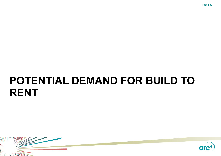

# <span id="page-29-0"></span>**POTENTIAL DEMAND FOR BUILD TO RENT**



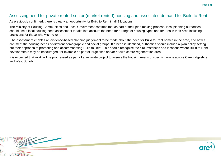#### Assessing need for private rented sector (market rented) housing and associated demand for Build to Rent

As previously confirmed, there is clearly an opportunity for Build to Rent in all 9 locations

The Ministry of Housing Communities and Local Government confirms that as part of their plan making process, local planning authorities should use a local housing need assessment to take into account the need for a range of housing types and tenures in their area including provisions for those who wish to rent.

'The assessment enables an evidence-based planning judgement to be made about the need for Build to Rent homes in the area, and how it can meet the housing needs of different demographic and social groups. If a need is identified, authorities should include a plan policy setting out their approach to promoting and accommodating Build to Rent. This should recognise the circumstances and locations where Build to Rent developments may be encouraged, for example as part of large sites and/or a town-centre regeneration area.'

It is expected that work will be progressed as part of a separate project to assess the housing needs of specific groups across Cambridgeshire and West Suffolk.

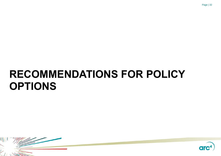# <span id="page-31-0"></span>**RECOMMENDATIONS FOR POLICY OPTIONS**



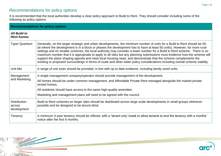# Recommendations for policy options

It is recommended that the local authorities develop a clear policy approach to Build to Rent. They should consider including some of the following as policy options.

|                                              | <b>Recommendations for policy options</b>                                                                                                                                                                                                                                                                                                                                                                                                                                                                                                                                                                                                                                                                                                                         |                                                                                                                           |  |
|----------------------------------------------|-------------------------------------------------------------------------------------------------------------------------------------------------------------------------------------------------------------------------------------------------------------------------------------------------------------------------------------------------------------------------------------------------------------------------------------------------------------------------------------------------------------------------------------------------------------------------------------------------------------------------------------------------------------------------------------------------------------------------------------------------------------------|---------------------------------------------------------------------------------------------------------------------------|--|
| <b>All Build to</b><br><b>Rent homes</b>     |                                                                                                                                                                                                                                                                                                                                                                                                                                                                                                                                                                                                                                                                                                                                                                   |                                                                                                                           |  |
| Type/ Quantum                                | Generally, on the larger strategic and urban developments, the minimum number of units for a Build to Rent should be 50,<br>(ie where the development is in a block or phases the development has to have at least 50 units). However, for more rural<br>settings and on smaller schemes, the local authority may consider a lower number for a Build to Rent scheme. There is no<br>maximum number that it is appropriate to apply to all sites but any planning submissions must evidence how the scheme will<br>support the place shaping agenda and meet local housing need, and demonstrate that the scheme complements the<br>existing or proposed surroundings in terms of scale and other wider policy considerations including overall scheme viability. |                                                                                                                           |  |
| Unit Mix                                     | A range of unit sizes should be provided, in line with up to date evidence, including family sized units.                                                                                                                                                                                                                                                                                                                                                                                                                                                                                                                                                                                                                                                         |                                                                                                                           |  |
| Management<br>and Marketing                  | A single management company/operator should provide management of the development.<br>All homes should be under common management, and Affordable Private Rent managed alongside the market private<br>rented homes.<br>All residents should have access to the same high-quality amenities.<br>Marketing and management plans will need to be agreed with the council.                                                                                                                                                                                                                                                                                                                                                                                           |                                                                                                                           |  |
| <b>Distribution</b><br>across<br>development | Build to Rent schemes on larger sites should be distributed across large scale developments in small groups wherever<br>possible and be designed to be tenure blind.                                                                                                                                                                                                                                                                                                                                                                                                                                                                                                                                                                                              |                                                                                                                           |  |
| Tenancy                                      | notice after the first 6 months.                                                                                                                                                                                                                                                                                                                                                                                                                                                                                                                                                                                                                                                                                                                                  | A minimum 3-year tenancy should be offered, with a 'tenant only' break to allow tenants to end the tenancy with a months' |  |



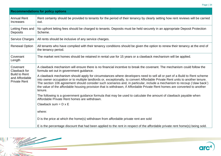|--|--|

|                                                                                           | <b>Recommendations for policy options</b>                                                                                                                                                                                                                                                                                                                                                                                                                                                                                     |  |  |
|-------------------------------------------------------------------------------------------|-------------------------------------------------------------------------------------------------------------------------------------------------------------------------------------------------------------------------------------------------------------------------------------------------------------------------------------------------------------------------------------------------------------------------------------------------------------------------------------------------------------------------------|--|--|
| <b>Annual Rent</b><br><b>Increases</b>                                                    | Rent certainty should be provided to tenants for the period of their tenancy by clearly setting how rent reviews will be carried<br>out.                                                                                                                                                                                                                                                                                                                                                                                      |  |  |
| Letting Fees and<br><b>Deposits</b>                                                       | No upfront letting fees should be charged to tenants. Deposits must be held securely in an appropriate Deposit Protection<br>Scheme.                                                                                                                                                                                                                                                                                                                                                                                          |  |  |
| <b>Service Charges</b>                                                                    | All rents should be inclusive of any service charges.                                                                                                                                                                                                                                                                                                                                                                                                                                                                         |  |  |
| <b>Renewal Option</b>                                                                     | All tenants who have complied with their tenancy conditions should be given the option to renew their tenancy at the end of<br>the tenancy period.                                                                                                                                                                                                                                                                                                                                                                            |  |  |
| Covenant<br>Length                                                                        | The market rent homes should be retained in rental use for 15 years or a clawback mechanism will be applied.                                                                                                                                                                                                                                                                                                                                                                                                                  |  |  |
| Covenant<br>Clawback for<br><b>Build to Rent</b><br>and Affordable<br><b>Private Rent</b> | A clawback mechanism will ensure there is no financial incentive to break the covenant. The mechanism could follow the<br>formula set out in government guidance.                                                                                                                                                                                                                                                                                                                                                             |  |  |
|                                                                                           | A clawback mechanism should apply for circumstances where developers need to sell all or part of a Build to Rent scheme<br>into owner occupation or to multiple landlords or, exceptionally, to convert Affordable Private Rent units to another tenure.<br>The section 106 agreement should consider such scenarios and, in particular, include a mechanism to recoup ('claw back')<br>the value of the affordable housing provision that is withdrawn, if Affordable Private Rent homes are converted to another<br>tenure. |  |  |
|                                                                                           | The following is a government guidance formula that may be used to calculate the amount of clawback payable when<br>Affordable Private Rent homes are withdrawn.                                                                                                                                                                                                                                                                                                                                                              |  |  |
|                                                                                           | Clawback sum = $D \times E$                                                                                                                                                                                                                                                                                                                                                                                                                                                                                                   |  |  |
|                                                                                           | where:                                                                                                                                                                                                                                                                                                                                                                                                                                                                                                                        |  |  |
|                                                                                           | D is the price at which the home(s) withdrawn from affordable private rent are sold                                                                                                                                                                                                                                                                                                                                                                                                                                           |  |  |
|                                                                                           | E is the percentage discount that had been applied to the rent in respect of the affordable private rent home(s) being sold.                                                                                                                                                                                                                                                                                                                                                                                                  |  |  |

 $\bar{z}$ 

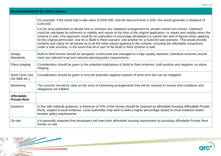|                                          | <b>Recommendations for policy options</b>                                                                                                                                                                                                                                                                                                                                                                                                                                                                                                                                                                                                                                                                                                                                                                                                                                                           |  |  |
|------------------------------------------|-----------------------------------------------------------------------------------------------------------------------------------------------------------------------------------------------------------------------------------------------------------------------------------------------------------------------------------------------------------------------------------------------------------------------------------------------------------------------------------------------------------------------------------------------------------------------------------------------------------------------------------------------------------------------------------------------------------------------------------------------------------------------------------------------------------------------------------------------------------------------------------------------------|--|--|
|                                          | For example, if the home had a sale value of £500,000, and the discount level is 20%, this would generate a clawback of<br>£100,000.<br>It is for local authorities to decide how to structure any clawback arrangement for private market rent homes. Clawback<br>could be calculated by reference to viability and values at the time of the original application, or values and viability when the<br>scheme is sold. One approach could be for authorities to encourage developers to submit two sets of figures when applying<br>for the original permission; one for a 'Build to Rent scenario' and another for a 'build for sale scenario'. This would provide<br>certainty and clarity for all parties as to all the initial values applying to the scheme, including the affordable component<br>under a sale scenario, in the event that all or part of the Build to Rent scheme is sold. |  |  |
|                                          |                                                                                                                                                                                                                                                                                                                                                                                                                                                                                                                                                                                                                                                                                                                                                                                                                                                                                                     |  |  |
| Design<br><b>Standards</b>               | Build to Rent homes should be designed, constructed and managed to a high-quality standard. Individual schemes should<br>meet any relevant local and national planning policy requirements.                                                                                                                                                                                                                                                                                                                                                                                                                                                                                                                                                                                                                                                                                                         |  |  |
| Place shaping                            | Consideration should be given to the potential implications of Build to Rent schemes, both positive and negative, on place-<br>shaping.                                                                                                                                                                                                                                                                                                                                                                                                                                                                                                                                                                                                                                                                                                                                                             |  |  |
| <b>Short Term Lets</b><br>(Air B&B etc.) | Consideration should be given to how the potential negative impacts of short term lets can be mitigated.                                                                                                                                                                                                                                                                                                                                                                                                                                                                                                                                                                                                                                                                                                                                                                                            |  |  |
| Monitoring                               | The councils should be clear on the sorts of monitoring arrangements that will be required to ensure that conditions and<br>obligations are fulfilled.                                                                                                                                                                                                                                                                                                                                                                                                                                                                                                                                                                                                                                                                                                                                              |  |  |
| <b>Affordable</b><br><b>Private Rent</b> |                                                                                                                                                                                                                                                                                                                                                                                                                                                                                                                                                                                                                                                                                                                                                                                                                                                                                                     |  |  |
| Quantum                                  | In line with national guidance, a minimum of 20% of the homes should be required as affordable housing (Affordable Private<br>Rent), subject to local evidence. Local authorities may wish to seek a higher percentage based on local evidence and/or<br>broader policy requirements.                                                                                                                                                                                                                                                                                                                                                                                                                                                                                                                                                                                                               |  |  |
| On-site                                  | It is generally expected that developers will meet their affordable housing requirement by providing Affordable Private Rent<br>homes on-site.                                                                                                                                                                                                                                                                                                                                                                                                                                                                                                                                                                                                                                                                                                                                                      |  |  |

 $\bar{z}$ 

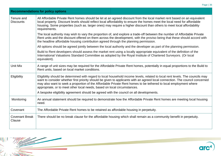|--|--|

| All Affordable Private Rent homes should be let at an agreed discount from the local market rent based on an equivalent<br>local property. Discount levels should reflect local affordability to ensure the homes meet the local need for affordable<br>housing. Some properties (such as. larger ones) may require a higher discount than others to meet local affordability     |  |
|-----------------------------------------------------------------------------------------------------------------------------------------------------------------------------------------------------------------------------------------------------------------------------------------------------------------------------------------------------------------------------------|--|
| The local authority may wish to vary the proportion of, and explore a trade-off between the number of Affordable Private<br>Rent units and the discount offered on them across the development, with the proviso being that these should accord with                                                                                                                              |  |
| All options should be agreed jointly between the local authority and the developer as part of the planning permission.                                                                                                                                                                                                                                                            |  |
| Build to Rent developers should assess the market rent using a locally appropriate equivalent of the definition of the                                                                                                                                                                                                                                                            |  |
| A range of unit sizes may be required for the Affordable Private Rent homes, potentially in equal proportions to the Build to<br>Rent units, based on local market conditions.                                                                                                                                                                                                    |  |
| Eligibility should be determined with regard to local household income levels, related to local rent levels. The councils may<br>want to consider whether first priority should be given to applicants with an agreed local connection. The council concerned<br>may also want to seek a proportion of the Affordable Private Rent homes to be tethered to local employment where |  |
|                                                                                                                                                                                                                                                                                                                                                                                   |  |
| An annual statement should be required to demonstrate how the Affordable Private Rent homes are meeting local housing<br>need.                                                                                                                                                                                                                                                    |  |
| The Affordable Private Rent homes to be retained as affordable housing in perpetuity.                                                                                                                                                                                                                                                                                             |  |
| There should be no break clause for the affordable housing which shall remain as a community benefit in perpetuity.                                                                                                                                                                                                                                                               |  |
|                                                                                                                                                                                                                                                                                                                                                                                   |  |



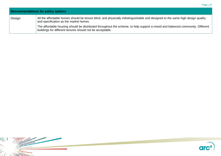|        | <b>Recommendations for policy options</b>                                                                                                                                                  |  |
|--------|--------------------------------------------------------------------------------------------------------------------------------------------------------------------------------------------|--|
| Design | All the affordable homes should be tenure blind, and physically indistinguishable and designed to the same high design quality<br>and specification as the market homes.                   |  |
|        | The affordable housing should be distributed throughout the scheme, to help support a mixed and balanced community. Different<br>buildings for different tenures should not be acceptable. |  |

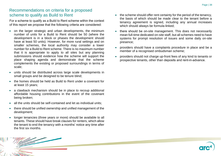## Recommendations on criteria for a proposed scheme to qualify as Build to Rent

For a scheme to qualify as a Build to Rent scheme within the context of this report we propose that the following criteria are considered:

- on the larger strategic and urban developments, the minimum number of units for a Build to Rent should be 50 (where the development is in a block or phases the development should have at least 50 units). However, for more rural settings and on smaller schemes, the local authority may consider a lower number for a Build to Rent scheme. There is no maximum number that it is appropriate to apply to all sites but any planning submissions should evidence how the scheme will support the place shaping agenda and demonstrate that the scheme complements the existing or proposed surroundings in terms of scale;
- units should be distributed across large scale developments in small groups and be designed to be tenure blind;
- the homes should be held as Build to Rent under a covenant for at least 15 years;
- a clawback mechanism should be in place to recoup additional affordable housing contributions in the event of the covenant being broken;
- all the units should be self-contained and let as individual units:
- there should be unified ownership and unified management of the development;
- longer tenancies (three years or more) should be available to all tenants. These should have break clauses for renters, which allow the tenant to end the tenancy with a months' notice any time after the first six months.
- the scheme should offer rent certainty for the period of the tenancy, the basis of which should be made clear to the tenant before a tenancy agreement is signed, including any annual increases which should always be formula-linked;
- there should be on-site management. This does not necessarily mean full-time dedicated on-site staff, but all schemes need to have systems for prompt resolution of issues and some daily on-site presence;
- providers should have a complaints procedure in place and be a member of a recognised ombudsman scheme;
- providers should not charge up-front fees of any kind to tenants or prospective tenants, other than deposits and rent-in-advance.

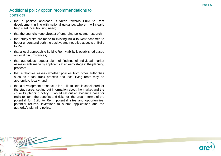## Additional policy option recommendations to consider :

- that a positive approach is taken towards Build to Rent development in line with national guidance, where it will clearly help meet local housing need ;
- $\bullet$ that the councils keep abreast of emerging policy and research ;
- $\bullet$ that study visits are made to existing Build to Rent schemes to better understand both the positive and negative aspects of Build to Rent ;
- $\bullet$ that a local approach to Build to Rent viability is established based on local circumstances;
- $\bullet$ that authorities request sight of findings of individual market assessments made by applicants at an early stage in the planning process ;
- $\bullet$ that authorities assess whether policies from other authorities such as a fast track process and local living rents may be appropriate locally; and
- that a development prospectus for Build to Rent is considered for the study area, setting out information about the market and the council's planning policy . It would set out an evidence base for Build to Rent, the benefits and risks for the area in terms of the potential for Build to Rent, potential sites and opportunities, potential returns, invitations to submit applications and the authority's planning policy.



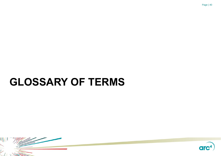# <span id="page-39-0"></span>**GLOSSARY OF TERMS**



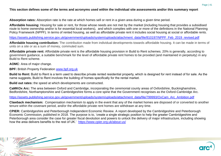#### **This section defines some of the terms and acronyms used within the individual site assessments and/or this summary report**

**Absorption rates:** Absorption rate is the rate at which homes sell or rent in a given area during a given time period.

**Affordable housing:** Housing for sale or rent, for those whose needs are not met by the market (including housing that provides a subsidised route to home ownership and/or is for essential local workers), and which complies with one or more of the definitions in the National Planning Policy Framework (NPPF). In terms of rented housing, as well as affordable private rent it includes social housing at social or affordable rents.

[https://assets.publishing.service.gov.uk/government/uploads/system/uploads/attachment\\_data/file/810197/NPPF\\_Feb\\_2019\\_revised.pdf](https://assets.publishing.service.gov.uk/government/uploads/system/uploads/attachment_data/file/810197/NPPF_Feb_2019_revised.pdf)

**Affordable housing contribution:** The contribution made from individual developments towards affordable housing. It can be made in terms of units on a site or as a sum of money, commuted sum.

**Affordable private rent:** Affordable private rent is the affordable housing provision in Build to Rent schemes. 20% is generally, according to government guidance, a suitable benchmark for the level of affordable private rent homes to be provided (and maintained in perpetuity) in any Build to Rent scheme.

**AOMC**: Area of major change.

**BPF:** British Property Federation [www.bpf.org.uk](file:///C:/Users/Helen%20user/Documents/current%20working%20files/cambridge/btr%20models/proofed/FINAL/www.bpf.org.uk)

**Build to Rent:** Build to Rent is a term used to describe private rented residential property, which is designed for rent instead of for sale. As the name suggests, Build to Rent involves the building of homes specifically for the rental market.

**Build out rates:** the speed at which developments are constructed.

**CaMKOx Arc:** The area between Oxford and Cambridge, incorporating the ceremonial county areas of Oxfordshire, Buckinghamshire, Bedfordshire, Northamptonshire and Cambridgeshire forms a core spine that the Government recognises as the Oxford-Cambridge Arc.

[https://assets.publishing.service.gov.uk/government/uploads/system/uploads/attachment\\_data/file/799993/OxCam\\_Arc\\_Ambition.pdf](https://assets.publishing.service.gov.uk/government/uploads/system/uploads/attachment_data/file/799993/OxCam_Arc_Ambition.pdf)

**Clawback mechanism:** Compensation mechanism to apply in the event that any of the market homes are disposed of or converted to another tenure within the covenant period, and/or the affordable private rent homes are withdrawn at any time.

**CPIER:** Cambridgeshire and Peterborough Independent Economic Review. A report developed by the Cambridgeshire and Peterborough Economic Commission, published in 2018. The purpose is to, 'create a single strategic position to help the greater Cambridgeshire and Peterborough area consider the case for greater fiscal devolution and powers to unlock the delivery of major infrastructure, including showing how the area delivers benefits to the rest of UK.' <https://www.cpier.org.uk/about-us/>



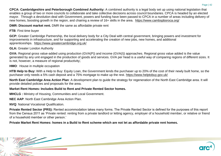**CPCA: Cambridgeshire and Peterborough Combined Authority:** A combined authority is a legal body set up using national legislation that enables a group of two or more councils to collaborate and take collective decisions across council boundaries. CPCA is headed by an elected mayor. Through a devolution deal with Government, powers and funding have been passed to CPCA in a number of areas including delivery of new homes, boosting growth in the region, and chairing a review of 16+ skills in the area. <https://www.cambspboroca.org/>

**DMR: Discount market rent.** DMR the same as affordable private rent

**FTB**: First time buyer

**GCP:** Greater Cambridge Partnership, the local delivery body for a City Deal with central government, bringing powers and investment for improvements in infrastructure, and for supporting and accelerating the creation of new jobs, new homes, and additional apprenticeships. <https://www.greatercambridge.org.uk/>

**GLA:** Greater London Authority

**GVA:** Regional gross value-added using production (GVA(P)) and income (GVA(I)) approaches. Regional gross value added is the value generated by any unit engaged in the production of goods and services. GVA per head is a useful way of comparing regions of different sizes. It is not, however, a measure of regional productivity.

**HMO**: House in multiple occupation

**HTB Help to Buy:** With a Help to Buy: Equity Loan, the Government lends the purchaser up to 20% of the cost of their newly built home, so the purchaser only needs a 5% cash deposit and a 75% mortgage to make up the rest.<https://www.helptobuy.gov.uk/>

**North East Cambridge Area Action Plan**: A development plan to guide the strategy for regeneration of the North East Cambridge area. It will provide detailed policies and proposals for the area.

#### **Market Rent Homes: Includes Build to Rent and Private Rented Sector homes.**

**MHCLG :** Ministry of Housing, Communities and Local Government.

**NEC AAP**: North East Cambridge Area Action Plan.

**NVQ**: National Vocational Qualification.

**Private Rented Sector (PRS):** Rented accommodation takes many forms. The Private Rented Sector is defined for the purposes of this report from the Census 2011 as 'Private rented: renting from a private landlord or letting agency, employer of a household member, or relative or friend of a household member or other person.'

**Private Market Rent Homes: homes in a Build to Rent scheme which are not let as affordable private rent homes.** 



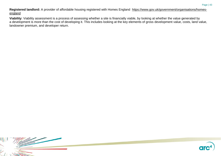Registered landlord: A provider of affordable housing registered with Homes England [https://www.gov.uk/government/organisations/homes](https://www.gov.uk/government/organisations/homes-england)[england](https://www.gov.uk/government/organisations/homes-england)

**Viability**: Viability assessment is a process of assessing whether a site is financially viable, by looking at whether the value generated by a development is more than the cost of developing it. This includes looking at the key elements of gross development value, costs, land value, landowner premium, and developer return.